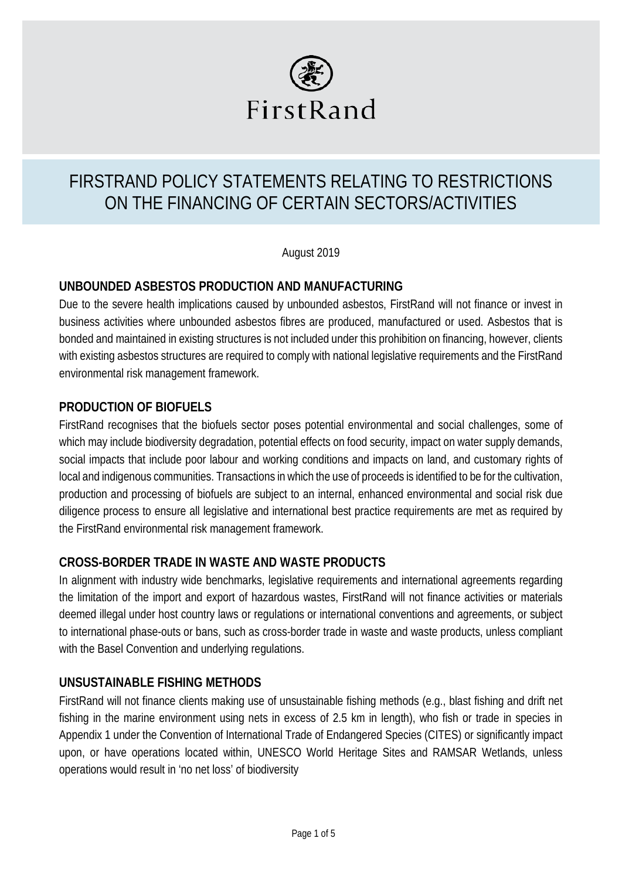

# FIRSTRAND POLICY STATEMENTS RELATING TO RESTRICTIONS ON THE FINANCING OF CERTAIN SECTORS/ACTIVITIES

August 2019

#### **UNBOUNDED ASBESTOS PRODUCTION AND MANUFACTURING**

Due to the severe health implications caused by unbounded asbestos, FirstRand will not finance or invest in business activities where unbounded asbestos fibres are produced, manufactured or used. Asbestos that is bonded and maintained in existing structures is not included under this prohibition on financing, however, clients with existing asbestos structures are required to comply with national legislative requirements and the FirstRand environmental risk management framework.

#### **PRODUCTION OF BIOFUELS**

FirstRand recognises that the biofuels sector poses potential environmental and social challenges, some of which may include biodiversity degradation, potential effects on food security, impact on water supply demands, social impacts that include poor labour and working conditions and impacts on land, and customary rights of local and indigenous communities. Transactions in which the use of proceeds is identified to be for the cultivation, production and processing of biofuels are subject to an internal, enhanced environmental and social risk due diligence process to ensure all legislative and international best practice requirements are met as required by the FirstRand environmental risk management framework.

#### **CROSS-BORDER TRADE IN WASTE AND WASTE PRODUCTS**

In alignment with industry wide benchmarks, legislative requirements and international agreements regarding the limitation of the import and export of hazardous wastes, FirstRand will not finance activities or materials deemed illegal under host country laws or regulations or international conventions and agreements, or subject to international phase-outs or bans, such as cross-border trade in waste and waste products, unless compliant with the Basel Convention and underlying regulations.

# **UNSUSTAINABLE FISHING METHODS**

FirstRand will not finance clients making use of unsustainable fishing methods (e.g., blast fishing and drift net fishing in the marine environment using nets in excess of 2.5 km in length), who fish or trade in species in Appendix 1 under the Convention of International Trade of Endangered Species (CITES) or significantly impact upon, or have operations located within, UNESCO World Heritage Sites and RAMSAR Wetlands, unless operations would result in 'no net loss' of biodiversity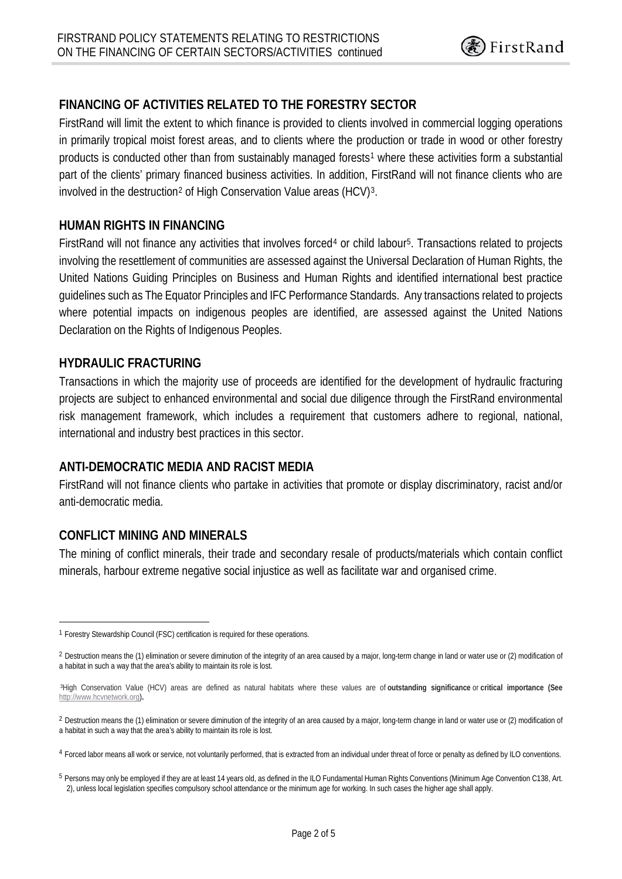# **FINANCING OF ACTIVITIES RELATED TO THE FORESTRY SECTOR**

FirstRand will limit the extent to which finance is provided to clients involved in commercial logging operations in primarily tropical moist forest areas, and to clients where the production or trade in wood or other forestry products is conducted other than from sustainably managed forests<sup>[1](#page-1-0)</sup> where these activities form a substantial part of the clients' primary financed business activities. In addition, FirstRand will not finance clients who are involved in the destruction<sup>[2](#page-1-1)</sup> of High Conservation Value areas (HCV)<sup>3</sup>.

#### **HUMAN RIGHTS IN FINANCING**

FirstRand will not finance any activities that involves forced[4](#page-1-3) or child labour[5](#page-1-4). Transactions related to projects involving the resettlement of communities are assessed against the Universal Declaration of Human Rights, the United Nations Guiding Principles on Business and Human Rights and identified international best practice guidelines such as The Equator Principles and IFC Performance Standards. Any transactions related to projects where potential impacts on indigenous peoples are identified, are assessed against the United Nations Declaration on the Rights of Indigenous Peoples.

#### **HYDRAULIC FRACTURING**

Transactions in which the majority use of proceeds are identified for the development of hydraulic fracturing projects are subject to enhanced environmental and social due diligence through the FirstRand environmental risk management framework, which includes a requirement that customers adhere to regional, national, international and industry best practices in this sector.

# **ANTI-DEMOCRATIC MEDIA AND RACIST MEDIA**

FirstRand will not finance clients who partake in activities that promote or display discriminatory, racist and/or anti-democratic media.

# **CONFLICT MINING AND MINERALS**

The mining of conflict minerals, their trade and secondary resale of products/materials which contain conflict minerals, harbour extreme negative social injustice as well as facilitate war and organised crime.

<span id="page-1-0"></span> <sup>1</sup> Forestry Stewardship Council (FSC) certification is required for these operations.

<sup>&</sup>lt;sup>2</sup> Destruction means the (1) elimination or severe diminution of the integrity of an area caused by a major, long-term change in land or water use or (2) modification of a habitat in such a way that the area's ability to maintain its role is lost.

<sup>3</sup>High Conservation Value (HCV) areas are defined as natural habitats where these values are of **outstanding significance** or **critical importance (See**  [http://www.hcvnetwork.org\)](http://www.hcvnetwork.org/)**.**

<span id="page-1-1"></span><sup>&</sup>lt;sup>2</sup> Destruction means the (1) elimination or severe diminution of the integrity of an area caused by a major, long-term change in land or water use or (2) modification of a habitat in such a way that the area's ability to maintain its role is lost.

<span id="page-1-3"></span><span id="page-1-2"></span><sup>4</sup> Forced labor means all work or service, not voluntarily performed, that is extracted from an individual under threat of force or penalty as defined by ILO conventions.

<span id="page-1-4"></span><sup>5</sup> Persons may only be employed if they are at least 14 years old, as defined in the ILO Fundamental Human Rights Conventions (Minimum Age Convention C138, Art. 2), unless local legislation specifies compulsory school attendance or the minimum age for working. In such cases the higher age shall apply.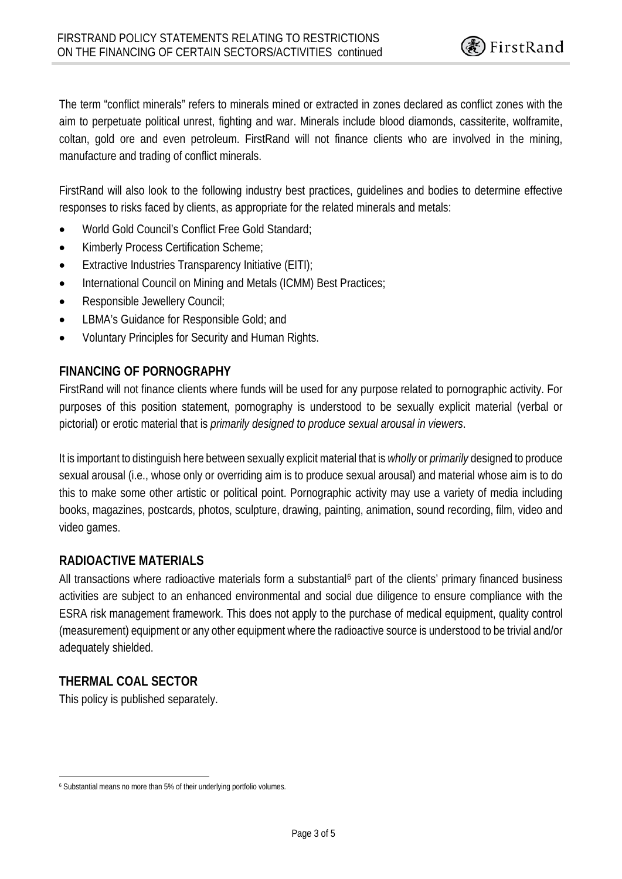The term "conflict minerals" refers to minerals mined or extracted in zones declared as conflict zones with the aim to perpetuate political unrest, fighting and war. Minerals include blood diamonds, cassiterite, wolframite, coltan, gold ore and even petroleum. FirstRand will not finance clients who are involved in the mining, manufacture and trading of conflict minerals.

FirstRand will also look to the following industry best practices, guidelines and bodies to determine effective responses to risks faced by clients, as appropriate for the related minerals and metals:

- World Gold Council's Conflict Free Gold Standard;
- Kimberly Process Certification Scheme;
- Extractive Industries Transparency Initiative (EITI);
- International Council on Mining and Metals (ICMM) Best Practices;
- Responsible Jewellery Council;
- LBMA's Guidance for Responsible Gold; and
- Voluntary Principles for Security and Human Rights.

#### **FINANCING OF PORNOGRAPHY**

FirstRand will not finance clients where funds will be used for any purpose related to pornographic activity. For purposes of this position statement, pornography is understood to be sexually explicit material (verbal or pictorial) or erotic material that is *primarily designed to produce sexual arousal in viewers*.

It is important to distinguish here between sexually explicit material that is *wholly* or *primarily* designed to produce sexual arousal (i.e., whose only or overriding aim is to produce sexual arousal) and material whose aim is to do this to make some other artistic or political point. Pornographic activity may use a variety of media including books, magazines, postcards, photos, sculpture, drawing, painting, animation, sound recording, film, video and video games.

#### **RADIOACTIVE MATERIALS**

All transactions where radioactive materials form a substantial<sup>[6](#page-2-0)</sup> part of the clients' primary financed business activities are subject to an enhanced environmental and social due diligence to ensure compliance with the ESRA risk management framework. This does not apply to the purchase of medical equipment, quality control (measurement) equipment or any other equipment where the radioactive source is understood to be trivial and/or adequately shielded.

# **THERMAL COAL SECTOR**

This policy is published separately.

<span id="page-2-0"></span> <sup>6</sup> Substantial means no more than 5% of their underlying portfolio volumes.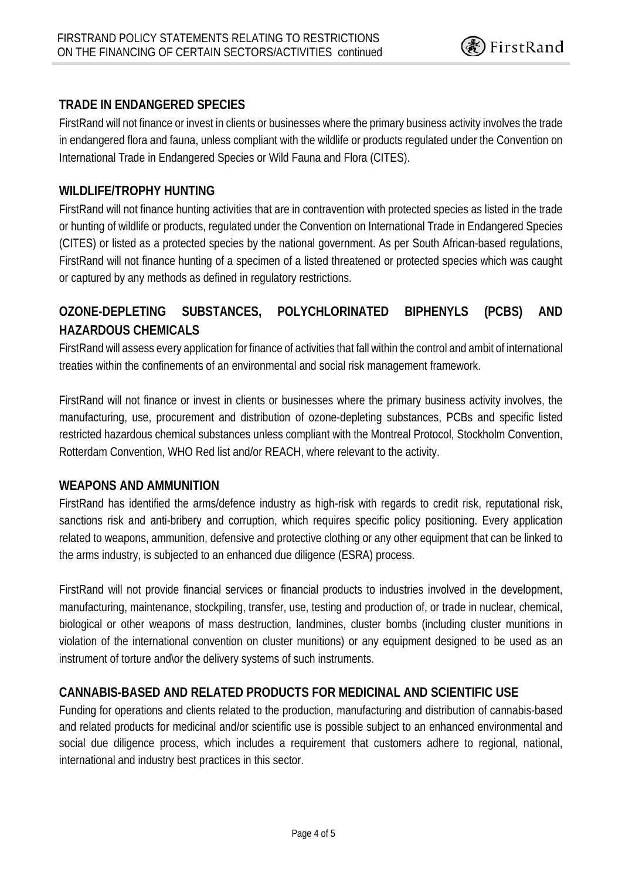# **TRADE IN ENDANGERED SPECIES**

FirstRand will not finance or invest in clients or businesses where the primary business activity involves the trade in endangered flora and fauna, unless compliant with the wildlife or products regulated under the Convention on International Trade in Endangered Species or Wild Fauna and Flora (CITES).

#### **WILDLIFE/TROPHY HUNTING**

FirstRand will not finance hunting activities that are in contravention with protected species as listed in the trade or hunting of wildlife or products, regulated under the Convention on International Trade in Endangered Species (CITES) or listed as a protected species by the national government. As per South African-based regulations, FirstRand will not finance hunting of a specimen of a listed threatened or protected species which was caught or captured by any methods as defined in regulatory restrictions.

# **OZONE-DEPLETING SUBSTANCES, POLYCHLORINATED BIPHENYLS (PCBS) AND HAZARDOUS CHEMICALS**

FirstRand will assess every application for finance of activities that fall within the control and ambit of international treaties within the confinements of an environmental and social risk management framework.

FirstRand will not finance or invest in clients or businesses where the primary business activity involves, the manufacturing, use, procurement and distribution of ozone-depleting substances, PCBs and specific listed restricted hazardous chemical substances unless compliant with the Montreal Protocol, Stockholm Convention, Rotterdam Convention, WHO Red list and/or REACH, where relevant to the activity.

#### **WEAPONS AND AMMUNITION**

FirstRand has identified the arms/defence industry as high-risk with regards to credit risk, reputational risk, sanctions risk and anti-bribery and corruption, which requires specific policy positioning. Every application related to weapons, ammunition, defensive and protective clothing or any other equipment that can be linked to the arms industry, is subjected to an enhanced due diligence (ESRA) process.

FirstRand will not provide financial services or financial products to industries involved in the development, manufacturing, maintenance, stockpiling, transfer, use, testing and production of, or trade in nuclear, chemical, biological or other weapons of mass destruction, landmines, cluster bombs (including cluster munitions in violation of the international convention on cluster munitions) or any equipment designed to be used as an instrument of torture and\or the delivery systems of such instruments.

# **CANNABIS-BASED AND RELATED PRODUCTS FOR MEDICINAL AND SCIENTIFIC USE**

Funding for operations and clients related to the production, manufacturing and distribution of cannabis-based and related products for medicinal and/or scientific use is possible subject to an enhanced environmental and social due diligence process, which includes a requirement that customers adhere to regional, national, international and industry best practices in this sector.